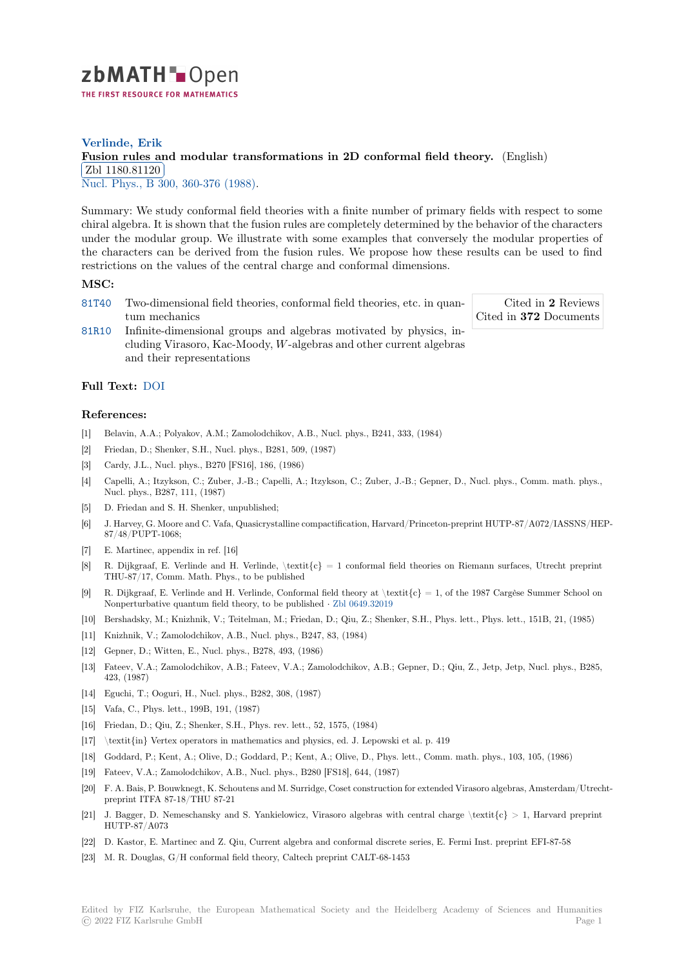

# **Verlinde, Erik [F](https://zbmath.org/)usion rules and modular transformations in 2D conformal field theory.** (English) Zbl 1180.81120

Nucl. Phys., B 300, 360-376 (1988).

[Summary: We study conformal field theories with a finite number of primary fields](https://zbmath.org/1180.81120) with respect to some [chiral algebra. It is](https://zbmath.org/1180.81120) shown that the fusion rules are completely determined by the behavior of the characters [under the mod](https://zbmath.org/journals/?q=se:176)[ular group. We illus](https://zbmath.org/?q=in:258913)trate with some examples that conversely the modular properties of the characters can be derived from the fusion rules. We propose how these results can be used to find restrictions on the values of the central charge and conformal dimensions.

#### **MSC:**

81T40 Two-dimensional field theories, conformal field theories, etc. in quantum mechanics

Cited in **2** Reviews Cited in **372** Documents

81R10 Infinite-dimensional groups and algebras motivated by physics, including Virasoro, Kac-Moody, *W*-algebras and other current algebras and their representations

## **[Full T](https://zbmath.org/classification/?q=cc:81R10)ext:** DOI

#### **References:**

- [1] Belavin, A.A.; Polyakov, A.M.; Zamolodchikov, A.B., Nucl. phys., B241, 333, (1984)
- [2] Friedan, [D.; Sh](https://dx.doi.org/10.1016/0550-3213(88)90603-7)enker, S.H., Nucl. phys., B281, 509, (1987)
- [3] Cardy, J.L., Nucl. phys., B270 [FS16], 186, (1986)
- [4] Capelli, A.; Itzykson, C.; Zuber, J.-B.; Capelli, A.; Itzykson, C.; Zuber, J.-B.; Gepner, D., Nucl. phys., Comm. math. phys., Nucl. phys., B287, 111, (1987)
- [5] D. Friedan and S. H. Shenker, unpublished;
- [6] J. Harvey, G. Moore and C. Vafa, Quasicrystalline compactification, Harvard/Princeton-preprint HUTP-87/A072/IASSNS/HEP-87/48/PUPT-1068;
- [7] E. Martinec, appendix in ref. [16]
- [8] R. Dijkgraaf, E. Verlinde and H. Verlinde, \textit{c} = 1 conformal field theories on Riemann surfaces, Utrecht preprint THU-87/17, Comm. Math. Phys., to be published
- [9] R. Dijkgraaf, E. Verlinde and H. Verlinde, Conformal field theory at  $\text{c} = 1$ , of the 1987 Cargèse Summer School on Nonperturbative quantum field theory, to be published *·* Zbl 0649.32019
- [10] Bershadsky, M.; Knizhnik, V.; Teitelman, M.; Friedan, D.; Qiu, Z.; Shenker, S.H., Phys. lett., Phys. lett., 151B, 21, (1985)
- [11] Knizhnik, V.; Zamolodchikov, A.B., Nucl. phys., B247, 83, (1984)
- [12] Gepner, D.; Witten, E., Nucl. phys., B278, 493, (1986)
- [13] Fateev, V.A.; Zamolodchikov, A.B.; Fateev, V.A.; Zamol[odchikov, A.B.;](https://zbmath.org/0649.32019) Gepner, D.; Qiu, Z., Jetp, Jetp, Nucl. phys., B285, 423, (1987)
- [14] Eguchi, T.; Ooguri, H., Nucl. phys., B282, 308, (1987)
- [15] Vafa, C., Phys. lett., 199B, 191, (1987)
- [16] Friedan, D.; Qiu, Z.; Shenker, S.H., Phys. rev. lett., 52, 1575, (1984)
- [17] \textit{in} Vertex operators in mathematics and physics, ed. J. Lepowski et al. p. 419
- [18] Goddard, P.; Kent, A.; Olive, D.; Goddard, P.; Kent, A.; Olive, D., Phys. lett., Comm. math. phys., 103, 105, (1986)
- [19] Fateev, V.A.; Zamolodchikov, A.B., Nucl. phys., B280 [FS18], 644, (1987)
- [20] F. A. Bais, P. Bouwknegt, K. Schoutens and M. Surridge, Coset construction for extended Virasoro algebras, Amsterdam/Utrechtpreprint ITFA 87-18/THU 87-21
- [21] J. Bagger, D. Nemeschansky and S. Yankielowicz, Virasoro algebras with central charge  $\text{text{c}} > 1$ , Harvard preprint HUTP-87/A073
- [22] D. Kastor, E. Martinec and Z. Qiu, Current algebra and conformal discrete series, E. Fermi Inst. preprint EFI-87-58
- [23] M. R. Douglas, G/H conformal field theory, Caltech preprint CALT-68-1453